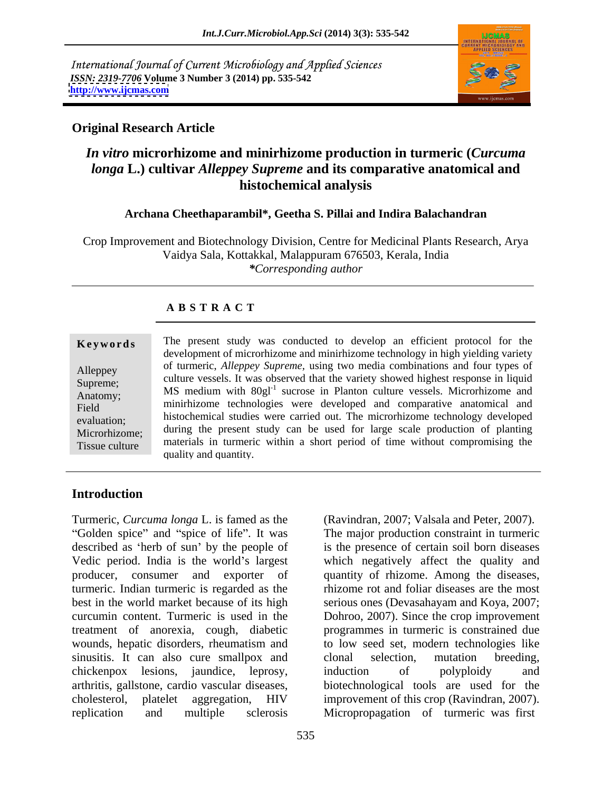International Journal of Current Microbiology and Applied Sciences *ISSN: 2319-7706* **Volume 3 Number 3 (2014) pp. 535-542 <http://www.ijcmas.com>**



## **Original Research Article**

# *In vitro* **microrhizome and minirhizome production in turmeric (***Curcuma longa* **L.) cultivar** *Alleppey Supreme* **and its comparative anatomical and histochemical analysis**

#### **Archana Cheethaparambil\*, Geetha S. Pillai and Indira Balachandran**

Crop Improvement and Biotechnology Division, Centre for Medicinal Plants Research, Arya Vaidya Sala, Kottakkal, Malappuram 676503, Kerala, India *\*Corresponding author*

#### **A B S T R A C T**

| Keywords       | The present study was conducted to develop an efficient protocol for the               |  |  |
|----------------|----------------------------------------------------------------------------------------|--|--|
|                | development of microrhizome and minirhizome technology in high yielding variety        |  |  |
| Alleppey       | of turmeric, Alleppey Supreme, using two media combinations and four types of          |  |  |
| Supreme;       | culture vessels. It was observed that the variety showed highest response in liquid    |  |  |
| Anatomy;       | MS medium with 80gl <sup>-1</sup> sucrose in Planton culture vessels. Microrhizome and |  |  |
| Field          | minirhizome technologies were developed and comparative anatomical and                 |  |  |
| evaluation;    | histochemical studies were carried out. The microrhizome technology developed          |  |  |
| Microrhizome;  | during the present study can be used for large scale production of planting            |  |  |
| Tissue culture | materials in turneric within a short period of time without compromising the           |  |  |
|                | quality and quantity.                                                                  |  |  |

## **Introduction**

Turmeric, *Curcuma longa* L. is famed as the described as 'herb of sun' by the people of is the presence of certain soil born diseases Vedic period. India is the world's largest which negatively affect the quality and producer, consumer and exporter of quantity of rhizome. Among the diseases, turmeric. Indian turmeric is regarded as the best in the world market because of its high serious ones (Devasahayam and Koya, 2007; curcumin content. Turmeric is used in the Dohroo, 2007). Since the crop improvement treatment of anorexia, cough, diabetic programmes in turmeric is constrained due wounds, hepatic disorders, rheumatism and sinusitis. It can also cure smallpox and clonal selection, mutation breeding, chickenpox lesions, jaundice, leprosy, induction of polyploidy and arthritis, gallstone, cardio vascular diseases, biotechnological tools are used for the cholesterol, platelet aggregation, HIV improvement of this crop (Ravindran, 2007). replication and multiple sclerosis Micropropagation of turmeric was first

Golden spice" and "spice of life". It was The major production constraint in turmeric (Ravindran, 2007; Valsala and Peter, 2007). rhizome rot and foliar diseases are the most to low seed set, modern technologies like clonal selection, mutation breeding, induction of polyploidy and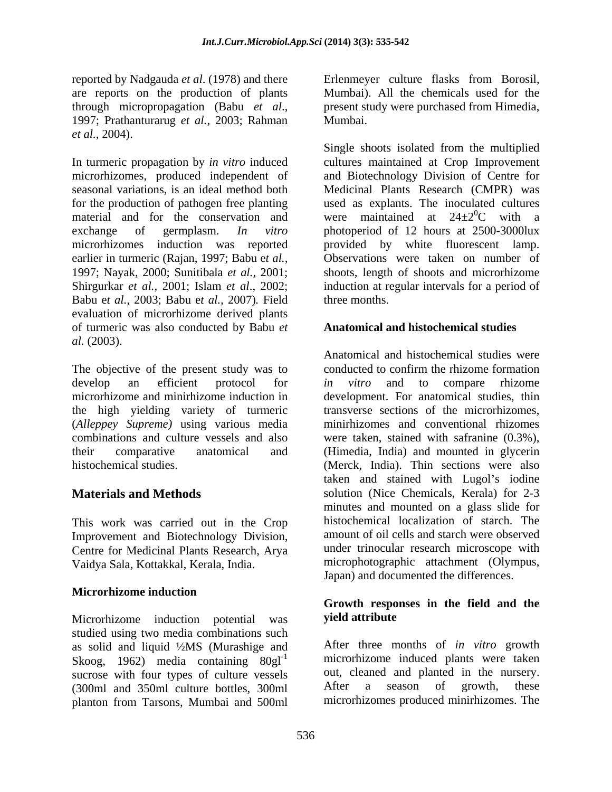reported by Nadgauda *et al*. (1978) and there are reports on the production of plants through micropropagation (Babu *et al*., 1997; Prathanturarug *et al.*, 2003; Rahman *et al.,* 2004).

seasonal variations, is an ideal method both for the production of pathogen free planting material and for the conservation and earlier in turmeric (Rajan, 1997; Babu e*t al.,* Babu e*t al.,* 2003; Babu e*t al.,* 2007)*.* Field evaluation of microrhizome derived plants of turmeric was also conducted by Babu *et al.* (2003).

The objective of the present study was to (*Alleppey Supreme)* using various media

This work was carried out in the Crop Improvement and Biotechnology Division, Centre for Medicinal Plants Research, Arya Vaidya Sala, Kottakkal, Kerala, India.

#### **Microrhizome induction**

Microrhizome induction potential was yield attribute studied using two media combinations such as solid and liquid ½MS (Murashige and Skoog, 1962) media containing  $80gl^{-1}$ sucrose with four types of culture vessels out, cleaned and planted in the nursery.<br>(300ml and 350ml culture bottles 300ml and After a season of growth, these (300ml and 350ml culture bottles, 300ml planton from Tarsons, Mumbai and 500ml

Erlenmeyer culture flasks from Borosil, Mumbai). All the chemicals used for the present study were purchased from Himedia, Mumbai.

In turmeric propagation by *in vitro* induced cultures maintained at Crop Improvement microrhizomes, produced independent of and Biotechnology Division of Centre for exchange of germplasm. *In vitro* photoperiod of 12 hours at 2500-3000lux microrhizomes induction was reported provided by white fluorescent lamp. 1997; Nayak, 2000; Sunitibala *et al.,* 2001; shoots, length of shoots and microrhizome Shirgurkar *et al.,* 2001; Islam *et al*., 2002; induction at regular intervals for a period of Single shoots isolated from the multiplied Medicinal Plants Research (CMPR) was used as explants. The inoculated cultures were maintained at  $24\pm2\degree C$  with a  ${}^{0}C$  with a Observations were taken on number of three months.

#### **Anatomical and histochemical studies**

develop an efficient protocol for *in vitro* and to compare rhizome microrhizome and minirhizome induction in development. For anatomical studies, thin the high yielding variety of turmeric transverse sections of the microrhizomes, combinations and culture vessels and also were taken, stained with safranine (0.3%), their comparative anatomical and (Himedia, India) and mounted in glycerin histochemical studies. (Merck, India). Thin sections were also **Materials and Methods** solution (Nice Chemicals, Kerala) for 2-3 Anatomical and histochemical studies were conducted to confirm the rhizome formation *in vitro* and to compare rhizome minirhizomes and conventional rhizomes taken and stained with Lugol's iodine minutes and mounted on a glass slide for histochemical localization of starch. The amount of oil cells and starch were observed under trinocular research microscope with microphotographic attachment (Olympus, Japan) and documented the differences.

## **Growth responses in the field and the yield attribute**

After three months of *in vitro* growth microrhizome induced plants were taken out, cleaned and planted in the nursery. After a season of growth, these microrhizomes produced minirhizomes. The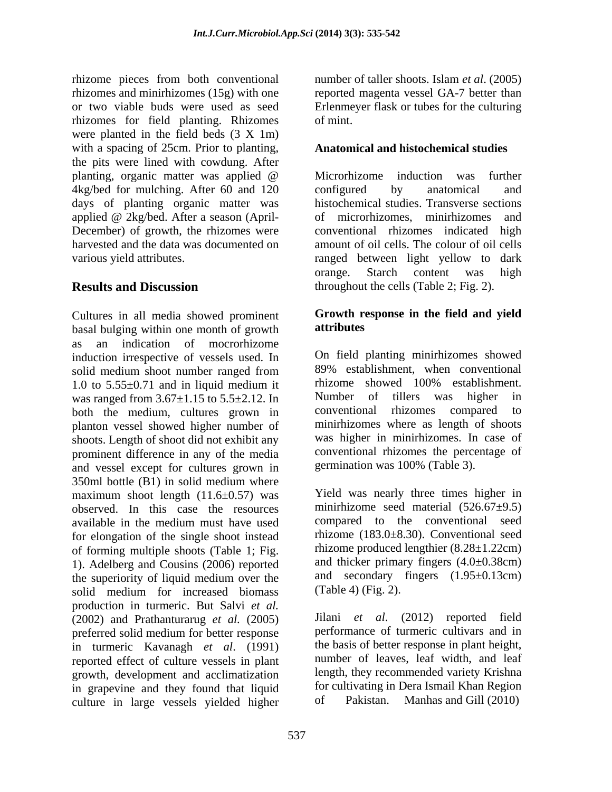rhizome pieces from both conventional rhizomes and minirhizomes (15g) with one or two viable buds were used as seed Erlenmeyer flask or tubes for the culturing rhizomes for field planting. Rhizomes were planted in the field beds (3 X 1m) with a spacing of 25cm. Prior to planting, the pits were lined with cowdung. After planting, organic matter was applied @ 4kg/bed for mulching. After 60 and 120 configured by anatomical and days of planting organic matter was<br>applied  $@$  2kg/bed. After a season (Aprilapplied @ 2kg/bed. After a season (April- December) of growth, the rhizomes were harvested and the data was documented on amount of oil cells. The colour of oil cells

Cultures in all media showed prominent **Growth represent that the contract C**<br>based bulging within one month of growth **attributes** basal bulging within one month of growth as an indication of mocrorhizome induction irrespective of vessels used. In solid medium shoot number ranged from 89% establishment, when conventional 1.0 to 5.55 $\pm$ 0.71 and in liquid medium it<br>was ranged from  $3.67+1.15$  to  $5.5+2.12$  In Number of tillers was higher in was ranged from  $3.67 \pm 1.15$  to  $5.5 \pm 2.12$ . In Number of tillers was higher both the medium cultures grown in conventional rhizomes compared both the medium, cultures grown in conventional rhizomes compared to planton vessel showed higher number of shoots. Length of shoot did not exhibit any prominent difference in any of the media and vessel except for cultures grown in 350ml bottle (B1) in solid medium where maximum shoot length  $(11.6\pm 0.57)$  was observed. In this case the resources available in the medium must have used for elongation of the single shoot instead of forming multiple shoots (Table 1; Fig. 1). Adelberg and Cousins (2006) reported the superiority of liquid medium over the solid medium for increased biomass (Table 4) (Fig. 2). production in turmeric. But Salvi *et al.*<br>(2002) and Prathanturary *et al.* (2005) Jilani *et al.* (2012) reported field (2002) and Prathanturarug *et al.* (2005) preferred solid medium for better response performance of turmeric cultivars and in in turmeric Kavanagh *et al*. (1991) reported effect of culture vessels in plant growth, development and acclimatization in grapevine and they found that liquid for cultivating in<br>culture in large vessels vielded bigher of Pakistan. culture in large vessels yielded higher

number of taller shoots. Islam *et al*. (2005) reported magenta vessel GA-7 better than of mint.

### **Anatomical and histochemical studies**

various yield attributes. ranged between light yellow to dark **Results and Discussion** throughout the cells (Table 2; Fig. 2). Microrhizome induction was further configured by anatomical and histochemical studies. Transverse sections of microrhizomes, minirhizomes and conventional rhizomes indicated high orange. Starch content was high

### **Growth response in the field and yield attributes**

On field planting minirhizomes showed 89% establishment, when conventional rhizome showed 100% establishment. Number of tillers was higher in conventional rhizomes compared to minirhizomes where as length of shoots was higher in minirhizomes. In case of conventional rhizomes the percentage of germination was 100% (Table 3).

Yield was nearly three times higher in minirhizome seed material (526.67±9.5) compared to the conventional seed rhizome (183.0±8.30). Conventional seed rhizome produced lengthier (8.28±1.22cm) and thicker primary fingers  $(4.0\pm0.38cm)$ and secondary fingers (1.95±0.13cm) (Table 4) (Fig. 2).

Jilani *et al*. (2012) reported field performance of turmeric cultivars and in the basis of better response in plant height, number of leaves, leaf width, and leaf length, they recommended variety Krishna for cultivating in Dera Ismail Khan Region Manhas and Gill  $(2010)$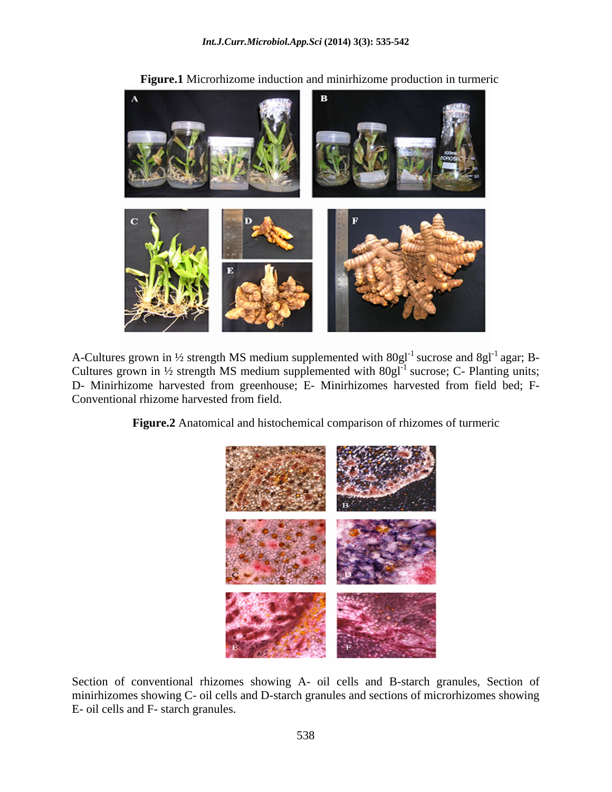

**Figure.1** Microrhizome induction and minirhizome production in turmeric

A-Cultures grown in 1/2 strength MS medium supplemented with  $80gl^{-1}$  sucrose and  $8gl^{-1}$  agar; Bagar; B- Cultures grown in  $\frac{1}{2}$  strength MS medium supplemented with  $80gI^{-1}$  sucrose; C- Planting units; D- Minirhizome harvested from greenhouse; E- Minirhizomes harvested from field bed; F- Conventional rhizome harvested from field.

**Figure.2** Anatomical and histochemical comparison of rhizomes of turmeric



Section of conventional rhizomes showing A- oil cells and B-starch granules, Section of minirhizomes showing C- oil cells and D-starch granules and sections of microrhizomes showing E- oil cells and F- starch granules.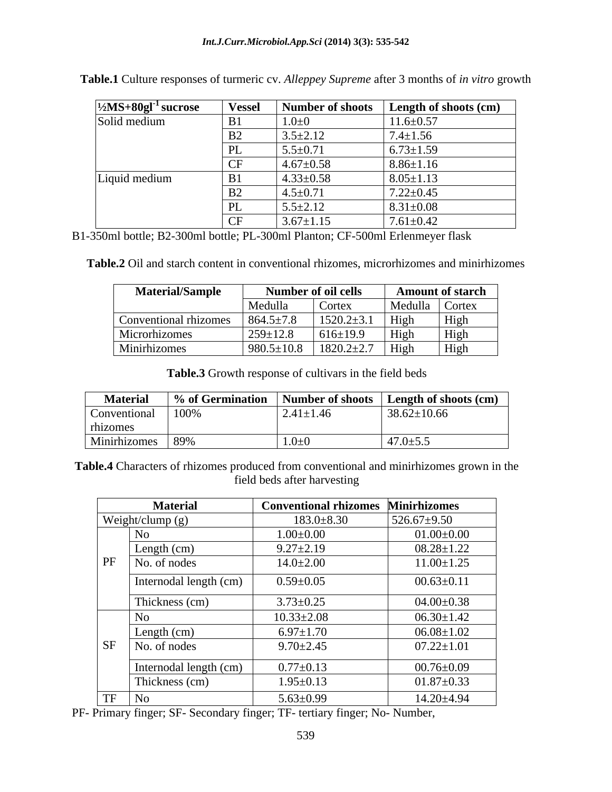| $\frac{1}{2}MS + 80gI^{-1}$ sucrose | <b>Vessel</b>       | Number of shoots | <b>Length of shoots (cm)</b> |
|-------------------------------------|---------------------|------------------|------------------------------|
| Solid medium                        | B1                  | $1.0 + 0$        | $11.6 \pm 0.57$              |
|                                     | B2                  | $3.5 \pm 2.12$   | $7.4 \pm 1.56$               |
|                                     | PL                  | $5.5 \pm 0.71$   | $6.73 \pm 1.59$              |
|                                     | <b>CF</b>           | $4.67 \pm 0.58$  | $8.86 \pm 1.16$              |
| Liquid medium                       | B1                  | $4.33 \pm 0.58$  | $8.05 \pm 1.13$              |
|                                     | B2                  | $4.5 \pm 0.71$   | $7.22 \pm 0.45$              |
|                                     | PL                  | $5.5 \pm 2.12$   | $8.31 \pm 0.08$              |
|                                     | $\overline{C}$<br>◡ | $3.67 \pm 1.15$  | $7.61 \pm 0.42$              |

**Table.1** Culture responses of turmeric cv. *Alleppey Supreme* after 3 months of *in vitro* growth

B1-350ml bottle; B2-300ml bottle; PL-300ml Planton; CF-500ml Erlenmeyer flask

**Table.2** Oil and starch content in conventional rhizomes, microrhizomes and minirhizomes

| <b>Material/Sample</b> | <b>Number of oil cells</b> |                  | <b>Amount of starch</b>       |                                                    |
|------------------------|----------------------------|------------------|-------------------------------|----------------------------------------------------|
|                        | Medulla                    | Cortex           | Medulla Cortex                |                                                    |
| Conventional rhizomes  | $864.5 \pm 7.8$            | $1520.2 \pm 3.1$ | $\overline{\phantom{a}}$ High | $-1$<br>H <sub>1</sub> gh                          |
| Microrhizomes          | $259 \pm 12.8$             | $616 \pm 19.9$   | <sup>High</sup>               | $\mathbf{r}$ and $\mathbf{r}$<br>H <sub>1</sub> gh |
| Minirhizomes           | $980.5 \pm 10.8$           | $1820.2 \pm 2.7$ | <sup>High</sup>               | $   -$<br>H <sub>1</sub> gh                        |

**Table.3** Growth response of cultivars in the field beds

| <b>Material</b>   |             |                 | $\frac{1}{2}$ % of Germination   Number of shoots   Length of shoots (cm) |
|-------------------|-------------|-----------------|---------------------------------------------------------------------------|
| Conventional 100% |             | $2.41 \pm 1.46$ | $38.62 \pm 10.66$                                                         |
| rhizomes          |             |                 |                                                                           |
| Minirhizomes      | $\sqrt{20}$ | $1.0 + 0$       | $47.0 \pm 5.5$                                                            |

**Table.4** Characters of rhizomes produced from conventional and minirhizomes grown in the field beds after harvesting

|           | <b>Material</b>        | <b>Conventional rhizomes</b> | <b>Minirhizomes</b> |
|-----------|------------------------|------------------------------|---------------------|
|           | Weight/clump (g)       | $183.0 \pm 8.30$             | $526.67 \pm 9.50$   |
|           | N <sub>o</sub>         | $1.00 \pm 0.00$              | $01.00 \pm 0.00$    |
| PF        | Length $(cm)$          | $9.27 \pm 2.19$              | $08.28 \pm 1.22$    |
|           | No. of nodes           | $14.0 \pm 2.00$              | $11.00 \pm 1.25$    |
|           | Internodal length (cm) | $0.59 \pm 0.05$              | $00.63 \pm 0.11$    |
|           | Thickness (cm)         | $3.73 \pm 0.25$              | $04.00 \pm 0.38$    |
|           | N <sub>o</sub>         | $10.33 \pm 2.08$             | $06.30 \pm 1.42$    |
|           | Length (cm)            | $6.97 \pm 1.70$              | $06.08 \pm 1.02$    |
| <b>SF</b> | No. of nodes           | $9.70 \pm 2.45$              | $07.22 \pm 1.01$    |
|           | Internodal length (cm) | $0.77 \pm 0.13$              | $00.76{\pm}0.09$    |
|           | Thickness (cm)         | $1.95 \pm 0.13$              | $01.87 \pm 0.33$    |
| TF        | No                     | $5.63 \pm 0.99$              | $14.20 \pm 4.94$    |

PF- Primary finger; SF- Secondary finger; TF- tertiary finger; No- Number,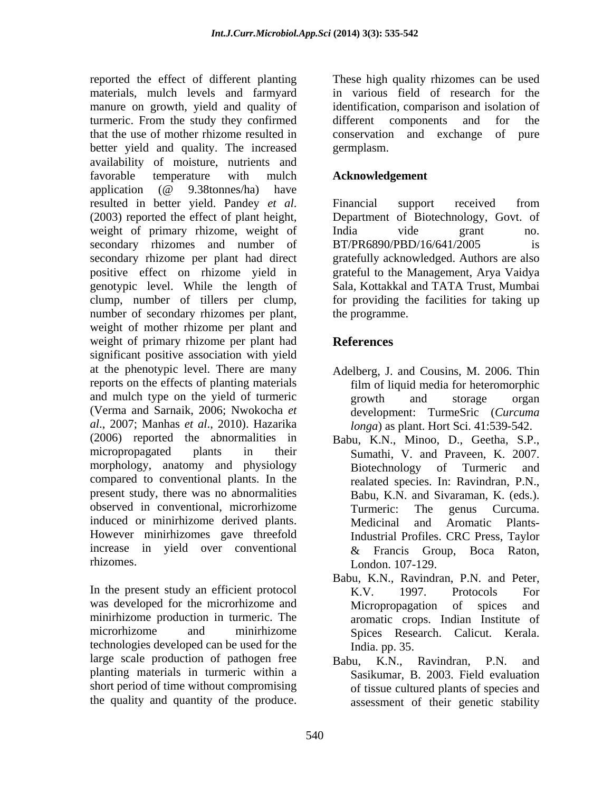reported the effect of different planting materials, mulch levels and farmyard in various field of research for the manure on growth, yield and quality of turmeric. From the study they confirmed that the use of mother rhizome resulted in better yield and quality. The increased germplasm. availability of moisture, nutrients and favorable temperature with mulch **Acknowledgement** application (@ 9.38tonnes/ha) have resulted in better yield. Pandey *et al*. Financial support received from (2003) reported the effect of plant height, Department of Biotechnology, Govt. of weight of primary rhizome, weight of India vide grant no. secondary rhizomes and number of BT/PR6890/PBD/16/641/2005 is secondary rhizome per plant had direct positive effect on rhizome yield in grateful to the Management, Arya Vaidya genotypic level. While the length of Sala, Kottakkal and TATA Trust, Mumbai clump, number of tillers per clump, number of secondary rhizomes per plant, weight of mother rhizome per plant and weight of primary rhizome per plant had **References** significant positive association with yield at the phenotypic level. There are many Adelberg, J. and Cousins, M. 2006. Thin reports on the effects of planting materials and mulch type on the yield of turmeric error growth and storage organ (Verma and Sarnaik, 2006; Nwokocha *et al*., 2007; Manhas *et al*., 2010). Hazarika (2006) reported the abnormalities in Babu, K.N., Minoo, D., Geetha, S.P., micropropagated plants in their Sumathi, V. and Praveen, K. 2007. morphology, anatomy and physiology compared to conventional plants. In the present study, there was no abnormalities observed in conventional, microrhizome<br>
Turmeric: The genus Curcuma. induced or minirhizome derived plants. However minirhizomes gave threefold increase in yield over conventional  $\&$  Francis Group, Boca Raton, reported the effect of different photons are high quality wholes and be effect of the produce of growin, yield and quality of the<br>simulation, comparison and isolation of the produce transmission and the<br>metric or comparis

was developed for the microrhizome and Micropropagation of spices and technologies developed can be used for the large scale production of pathogen free  $Babu$ ,  $K.N.,$  Ravindran, P.N. and planting materials in turmeric within a short period of time without compromising

identification, comparison and isolation of different components and for the conservation and exchange germplasm.

## **Acknowledgement**

Financial support received from Department of Biotechnology, Govt. of India vide grant no. BT/PR6890/PBD/16/641/2005 is gratefully acknowledged. Authors are also for providing the facilities for taking up the programme.

# **References**

- film of liquid media for heteromorphic growth and storage organ development: TurmeSric (*Curcuma longa*) as plant. Hort Sci. 41:539-542.
- Biotechnology of Turmeric and realated species. In: Ravindran, P.N., Babu, K.N. and Sivaraman, K. (eds.). Turmeric: The genus Curcuma. Medicinal and Aromatic Plants-Industrial Profiles. CRC Press, Taylor & Francis Group, Boca Raton, London. 107-129.
- rhizomes.<br>
In the present study an efficient protocol<br>
In the present study an efficient protocol<br>
K.V. 1997. Protocols For minirhizome production in turmeric. The aromatic crops. Indian Institute of microrhizome and minirhizome Spices Research. Calicut. Kerala. Babu, K.N., Ravindran, P.N. and Peter, K.V. 1997. Protocols For Micropropagation of spices and India. pp. 35.
	- Babu, K.N., Ravindran, P.N. and Sasikumar, B. 2003. Field evaluation of tissue cultured plants of species and assessment of their genetic stability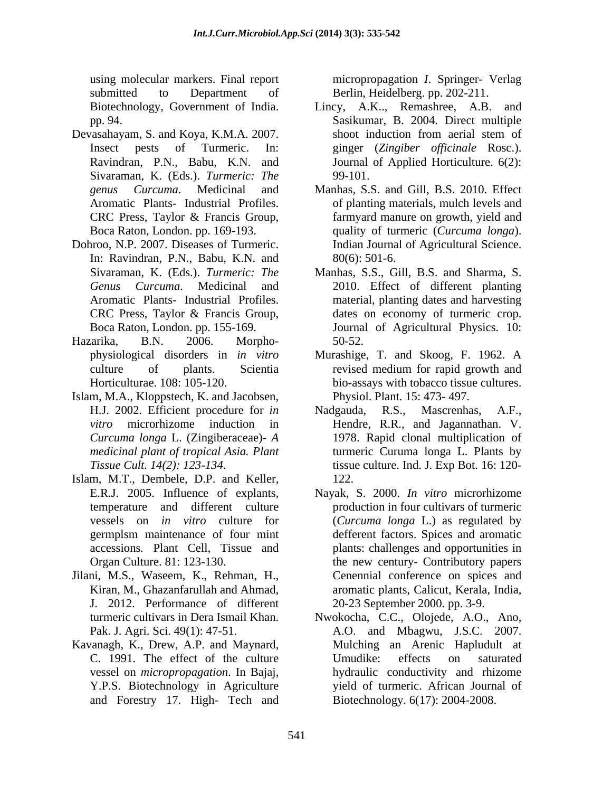using molecular markers. Final report micropropagation *I*. Springer- Verlag submitted to Department of Berlin, Heidelberg. pp. 202-211.

- Devasahayam, S. and Koya, K.M.A. 2007. Sivaraman, K. (Eds.). *Turmeric: The*
- In: Ravindran, P.N., Babu, K.N. and
- Hazarika, B.N. 2006. Morpho-
- Islam, M.A., Kloppstech, K. and Jacobsen, *medicinal plant of tropical Asia. Plant*
- Islam, M.T., Dembele, D.P. and Keller,
- Jilani, M.S., Waseem, K., Rehman, H., J. 2012. Performance of different
- Kavanagh, K., Drew, A.P. and Maynard, and Forestry 17. High- Tech and

- Biotechnology, Government of India. Lincy, A.K.., Remashree, A.B. and pp. 94. Sasikumar, B. 2004. Direct multiple Insect pests of Turmeric. In: ginger (*Zingiber of icinale* Rosc.). Ravindran, P.N., Babu, K.N. and Journal of Applied Horticulture. 6(2): Lincy, A.K.., Remashree, A.B. and shoot induction from aerial stem of 99-101.
- *genus Curcuma*. Medicinal and Manhas, S.S. and Gill, B.S. 2010. Effect Aromatic Plants- Industrial Profiles. of planting materials, mulch levels and CRC Press, Taylor & Francis Group, farmyard manure on growth, yield and Boca Raton, London. pp. 169-193. quality of turmeric (*Curcuma longa*). Dohroo, N.P. 2007. Diseases of Turmeric. farmyard manure on growth, yield and Indian Journal of Agricultural Science. 80(6): 501-6.
	- Sivaraman, K. (Eds.). *Turmeric: The* Manhas, S.S., Gill, B.S. and Sharma, S. *Genus Curcuma*. Medicinal and 2010. Effect of different planting Aromatic Plants- Industrial Profiles. material, planting dates and harvesting CRC Press, Taylor & Francis Group, Boca Raton, London. pp. 155-169. Journal of Agricultural Physics. 10: dates on economy of turmeric crop. 50-52.
	- physiological disorders in *in vitro* Murashige, T. and Skoog, F. 1962. A culture of plants. Scientia revised medium for rapid growth and Horticulturae. 108: 105-120. bio-assays with tobacco tissue cultures. revised medium for rapid growth and Physiol. Plant. 15: 473- 497.
	- H.J. 2002. Efficient procedure for *in vitro* microrhizome induction in Hendre, R.R., and Jagannathan. V. *Curcuma longa* L. (Zingiberaceae)- *A*  1978. Rapid clonal multiplication of *Tissue Cult. 14(2): 123-134*. tissue culture. Ind. J. Exp Bot. 16: 120- R.S., Mascrenhas, turmeric Curuma longa L. Plants by 122.
	- E.R.J. 2005. Influence of explants, Nayak, S. 2000. *In vitro* microrhizome temperature and different culture production in four cultivars of turmeric vessels on *in vitro* culture for (*Curcuma longa* L.) as regulated by germplsm maintenance of four mint defferent factors. Spices and aromatic accessions*.* Plant Cell, Tissue and plants: challenges and opportunities in Organ Culture. 81: 123-130. the new century- Contributory papers Kiran, M., Ghazanfarullah and Ahmad, aromatic plants, Calicut, Kerala, India, Cenennial conference on spices and 20-23 September 2000. pp. 3-9.
	- turmeric cultivars in Dera Ismail Khan. Nwokocha, C.C., Olojede, A.O., Ano, Pak. J. Agri. Sci. 49(1): 47-51. A.O. and Mbagwu, J.S.C. 2007. C. 1991. The effect of the culture vessel on *micropropagation*. In Bajaj, hydraulic conductivity and rhizome Y.P.S. Biotechnology in Agriculture  $\qquad \qquad$  yield of turmeric. African Journal of Mulching an Arenic Hapludult at Umudike: effects on saturated Biotechnology. 6(17): 2004-2008.